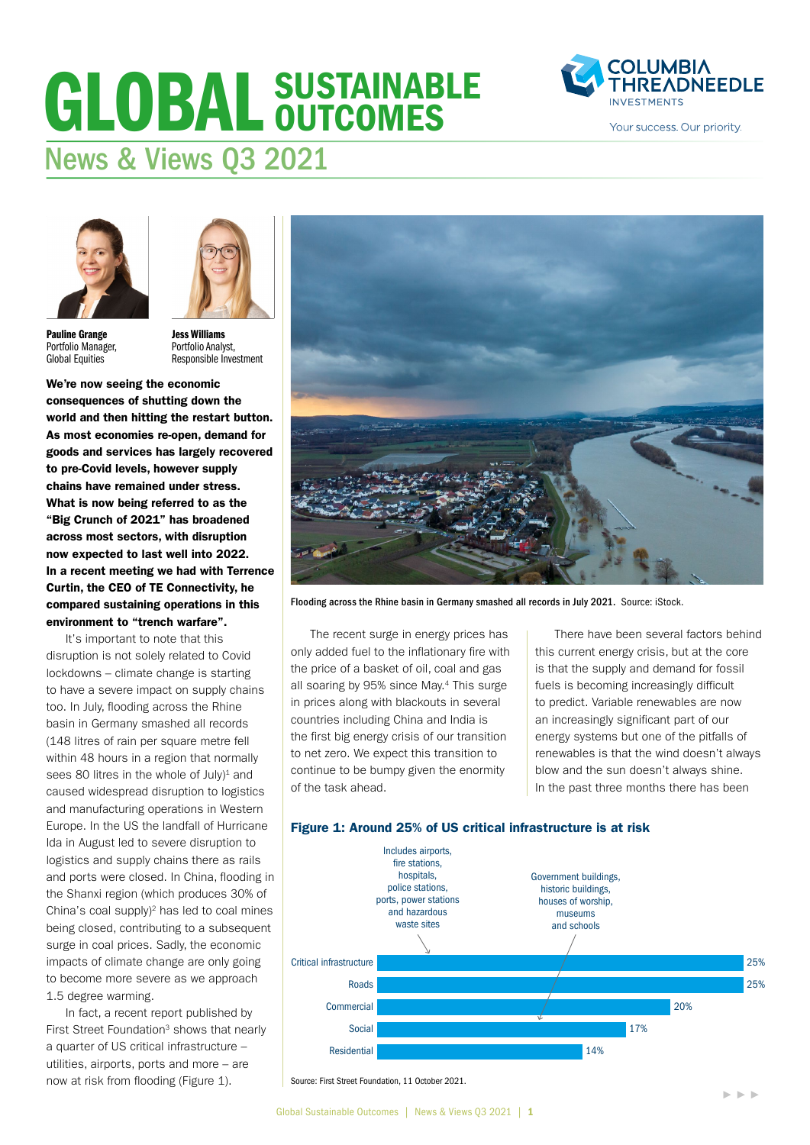# GLOBAL SUSTAINABLE News & Views Q3 2021





Pauline Grange Portfolio Manager, Global Equities

Jess Williams Portfolio Analyst, Responsible Investment

We're now seeing the economic consequences of shutting down the world and then hitting the restart button. As most economies re-open, demand for goods and services has largely recovered to pre-Covid levels, however supply chains have remained under stress. What is now being referred to as the "Big Crunch of 2021" has broadened across most sectors, with disruption now expected to last well into 2022. In a recent meeting we had with Terrence Curtin, the CEO of TE Connectivity, he compared sustaining operations in this environment to "trench warfare".

It's important to note that this disruption is not solely related to Covid lockdowns – climate change is starting to have a severe impact on supply chains too. In July, flooding across the Rhine basin in Germany smashed all records (148 litres of rain per square metre fell within 48 hours in a region that normally sees 80 litres in the whole of  $July)^1$  and caused widespread disruption to logistics and manufacturing operations in Western Europe. In the US the landfall of Hurricane Ida in August led to severe disruption to logistics and supply chains there as rails and ports were closed. In China, flooding in the Shanxi region (which produces 30% of China's coal supply $)^2$  has led to coal mines being closed, contributing to a subsequent surge in coal prices. Sadly, the economic impacts of climate change are only going to become more severe as we approach 1.5 degree warming.

In fact, a recent report published by First Street Foundation<sup>3</sup> shows that nearly a quarter of US critical infrastructure – utilities, airports, ports and more – are now at risk from flooding (Figure 1).



Flooding across the Rhine basin in Germany smashed all records in July 2021. Source: iStock.

The recent surge in energy prices has only added fuel to the inflationary fire with the price of a basket of oil, coal and gas all soaring by 95% since May.4 This surge in prices along with blackouts in several countries including China and India is the first big energy crisis of our transition to net zero. We expect this transition to continue to be bumpy given the enormity of the task ahead.

There have been several factors behind this current energy crisis, but at the core is that the supply and demand for fossil fuels is becoming increasingly difficult to predict. Variable renewables are now an increasingly significant part of our energy systems but one of the pitfalls of renewables is that the wind doesn't always blow and the sun doesn't always shine. In the past three months there has been





Source: First Street Foundation, 11 October 2021.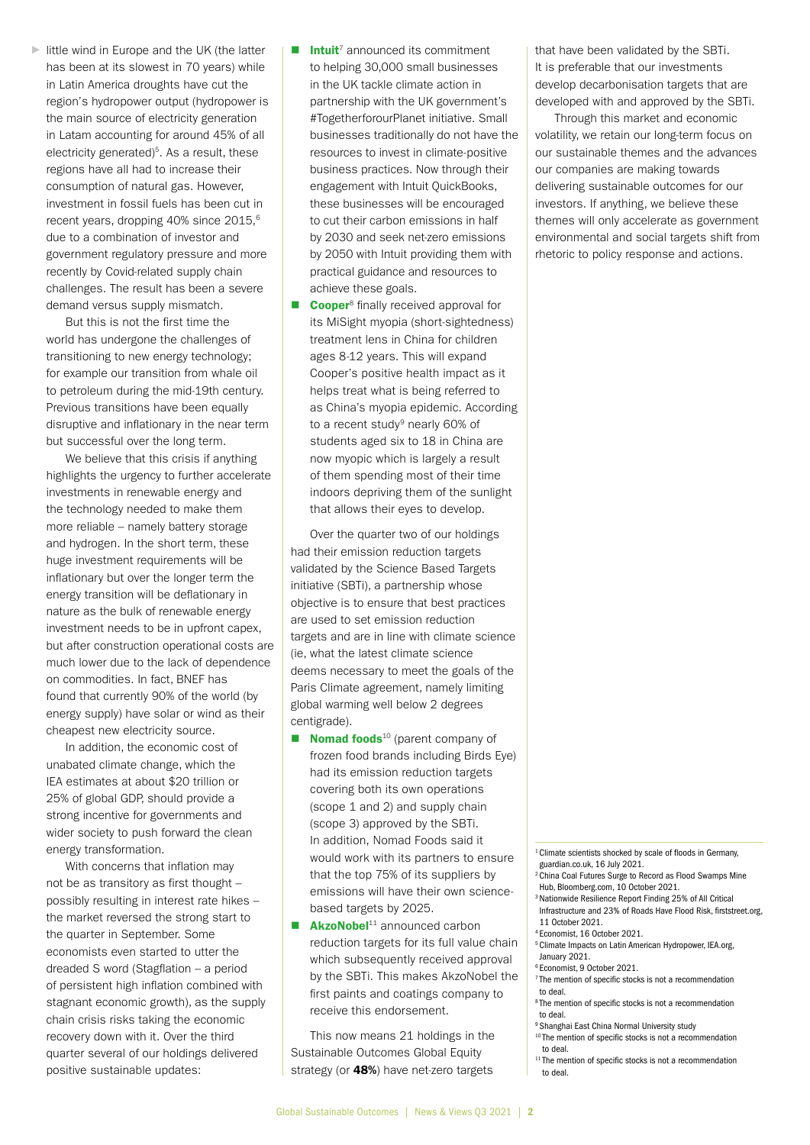► little wind in Europe and the UK (the latter has been at its slowest in 70 years) while in Latin America droughts have cut the region's hydropower output (hydropower is the main source of electricity generation in Latam accounting for around 45% of all electricity generated)<sup>5</sup>. As a result, these regions have all had to increase their consumption of natural gas. However, investment in fossil fuels has been cut in recent years, dropping 40% since 2015,<sup>6</sup> due to a combination of investor and government regulatory pressure and more recently by Covid-related supply chain challenges. The result has been a severe demand versus supply mismatch.

But this is not the first time the world has undergone the challenges of transitioning to new energy technology; for example our transition from whale oil to petroleum during the mid-19th century. Previous transitions have been equally disruptive and inflationary in the near term but successful over the long term.

We believe that this crisis if anything highlights the urgency to further accelerate investments in renewable energy and the technology needed to make them more reliable – namely battery storage and hydrogen. In the short term, these huge investment requirements will be inflationary but over the longer term the energy transition will be deflationary in nature as the bulk of renewable energy investment needs to be in upfront capex, but after construction operational costs are much lower due to the lack of dependence on commodities. In fact, BNEF has found that currently 90% of the world (by energy supply) have solar or wind as their cheapest new electricity source.

In addition, the economic cost of unabated climate change, which the IEA estimates at about \$20 trillion or 25% of global GDP, should provide a strong incentive for governments and wider society to push forward the clean energy transformation.

With concerns that inflation may not be as transitory as first thought – possibly resulting in interest rate hikes – the market reversed the strong start to the quarter in September. Some economists even started to utter the dreaded S word (Stagflation – a period of persistent high inflation combined with stagnant economic growth), as the supply chain crisis risks taking the economic recovery down with it. Over the third quarter several of our holdings delivered positive sustainable updates:

- $\blacksquare$  Intuit<sup>7</sup> announced its commitment to helping 30,000 small businesses in the UK tackle climate action in partnership with the UK government's #TogetherforourPlanet initiative. Small businesses traditionally do not have the resources to invest in climate-positive business practices. Now through their engagement with Intuit QuickBooks, these businesses will be encouraged to cut their carbon emissions in half by 2030 and seek net-zero emissions by 2050 with Intuit providing them with practical guidance and resources to achieve these goals.
- **Cooper**<sup>8</sup> finally received approval for its MiSight myopia (short-sightedness) treatment lens in China for children ages 8-12 years. This will expand Cooper's positive health impact as it helps treat what is being referred to as China's myopia epidemic. According to a recent study<sup>9</sup> nearly 60% of students aged six to 18 in China are now myopic which is largely a result of them spending most of their time indoors depriving them of the sunlight that allows their eyes to develop.

Over the quarter two of our holdings had their emission reduction targets validated by the Science Based Targets initiative (SBTi), a partnership whose objective is to ensure that best practices are used to set emission reduction targets and are in line with climate science (ie, what the latest climate science deems necessary to meet the goals of the Paris Climate agreement, namely limiting global warming well below 2 degrees centigrade).

- $\blacksquare$  Nomad foods<sup>10</sup> (parent company of frozen food brands including Birds Eye) had its emission reduction targets covering both its own operations (scope 1 and 2) and supply chain (scope 3) approved by the SBTi. In addition, Nomad Foods said it would work with its partners to ensure that the top 75% of its suppliers by emissions will have their own sciencebased targets by 2025.
- $\blacksquare$  **AkzoNobel**<sup>11</sup> announced carbon reduction targets for its full value chain which subsequently received approval by the SBTi. This makes AkzoNobel the first paints and coatings company to receive this endorsement.

This now means 21 holdings in the Sustainable Outcomes Global Equity strategy (or **48%**) have net-zero targets

that have been validated by the SBTi. It is preferable that our investments develop decarbonisation targets that are developed with and approved by the SBTi.

Through this market and economic volatility, we retain our long-term focus on our sustainable themes and the advances our companies are making towards delivering sustainable outcomes for our investors. If anything, we believe these themes will only accelerate as government environmental and social targets shift from rhetoric to policy response and actions.

<sup>1</sup> Climate scientists shocked by scale of floods in Germany, [guardian.co.uk,](http://guardian.co.uk) 16 July 2021.

- 2 China Coal Futures Surge to Record as Flood Swamps Mine Hub, [Bloomberg.com](http://Bloomberg.com), 10 October 2021.
- 3 Nationwide Resilience Report Finding 25% of All Critical Infrastructure and 23% of Roads Have Flood Risk, [firststreet.org](http://firststreet.org),
- 11 October 2021.
- 4 Economist, 16 October 2021.
- 5 Climate Impacts on Latin American Hydropower, IEA.org, January 2021.
- 6 Economist, 9 October 2021.
- <sup>7</sup> The mention of specific stocks is not a recommendation to deal.
- 8 The mention of specific stocks is not a recommendation to deal.
- <sup>9</sup> Shanghai East China Normal University study
- 10 The mention of specific stocks is not a recommendation to deal.
- <sup>11</sup> The mention of specific stocks is not a recommendation to deal.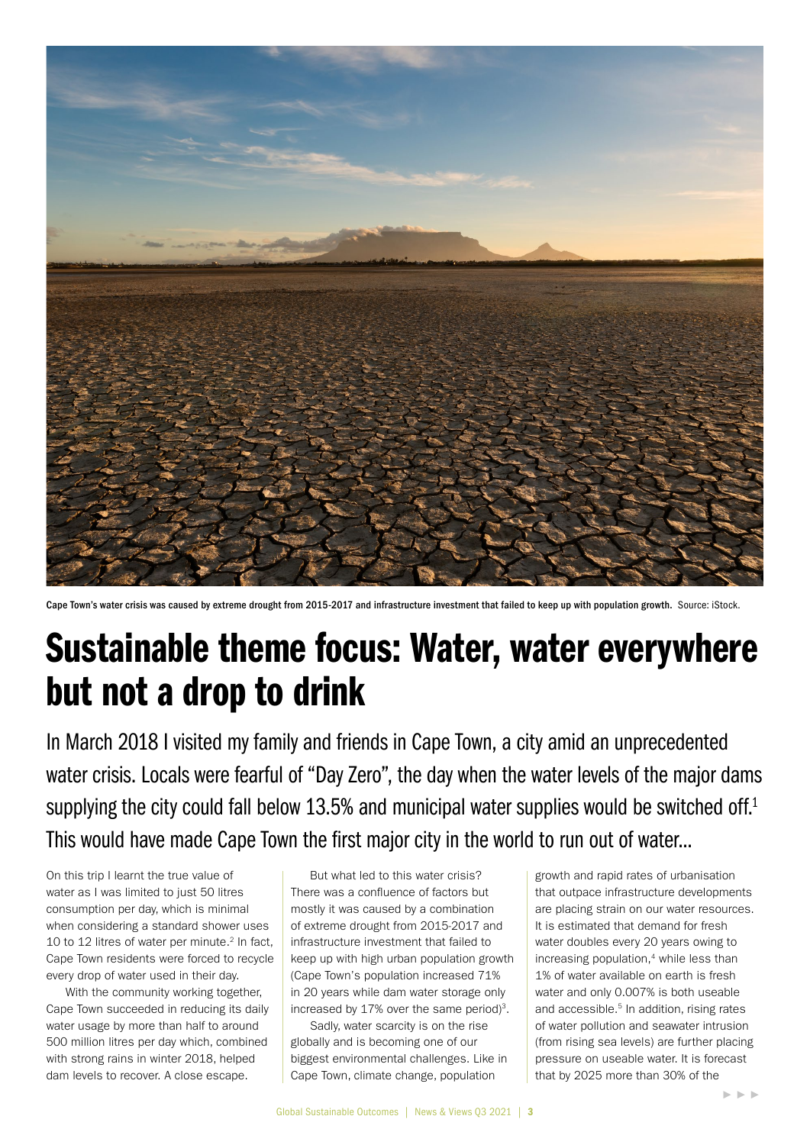

Cape Town's water crisis was caused by extreme drought from 2015-2017 and infrastructure investment that failed to keep up with population growth. Source: iStock.

## Sustainable theme focus: Water, water everywhere but not a drop to drink

In March 2018 I visited my family and friends in Cape Town, a city amid an unprecedented water crisis. Locals were fearful of "Day Zero", the day when the water levels of the major dams supplying the city could fall below 13.5% and municipal water supplies would be switched off.<sup>1</sup> This would have made Cape Town the first major city in the world to run out of water...

On this trip I learnt the true value of water as I was limited to just 50 litres consumption per day, which is minimal when considering a standard shower uses 10 to 12 litres of water per minute.<sup>2</sup> In fact, Cape Town residents were forced to recycle every drop of water used in their day.

With the community working together. Cape Town succeeded in reducing its daily water usage by more than half to around 500 million litres per day which, combined with strong rains in winter 2018, helped dam levels to recover. A close escape.

But what led to this water crisis? There was a confluence of factors but mostly it was caused by a combination of extreme drought from 2015-2017 and infrastructure investment that failed to keep up with high urban population growth (Cape Town's population increased 71% in 20 years while dam water storage only increased by  $17\%$  over the same period)<sup>3</sup>.

Sadly, water scarcity is on the rise globally and is becoming one of our biggest environmental challenges. Like in Cape Town, climate change, population

growth and rapid rates of urbanisation that outpace infrastructure developments are placing strain on our water resources. It is estimated that demand for fresh water doubles every 20 years owing to increasing population,<sup>4</sup> while less than 1% of water available on earth is fresh water and only 0.007% is both useable and accessible.<sup>5</sup> In addition, rising rates of water pollution and seawater intrusion (from rising sea levels) are further placing pressure on useable water. It is forecast that by 2025 more than 30% of the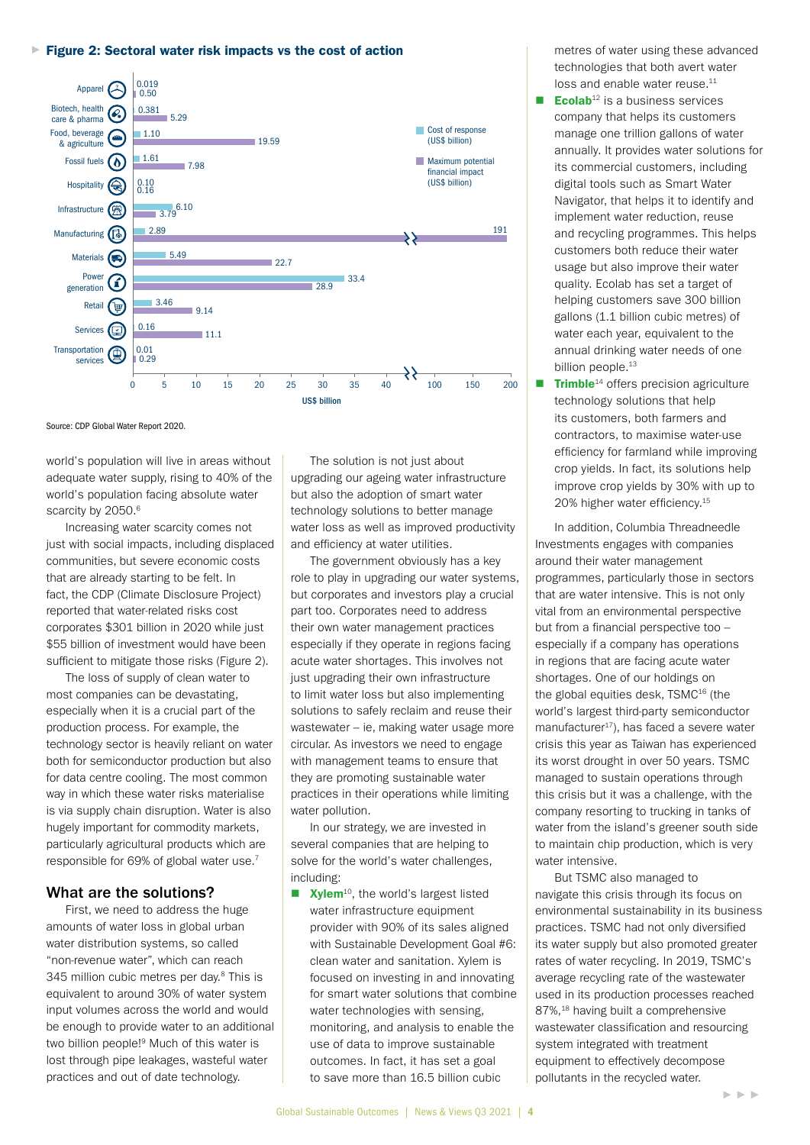### ► Figure 2: Sectoral water risk impacts vs the cost of action



Source: CDP Global Water Report 2020.

world's population will live in areas without adequate water supply, rising to 40% of the world's population facing absolute water scarcity by 2050.6 scarcity by 2050.<sup>6</sup> and water is the amount of technology solutions to better manage

Increasing water scarcity comes not  $\overline{\phantom{a}}$  water loss as well as im mercedurig water coarding displaced and efficiency at water using water levels as well as in part of water required communities, but severe economic costs that are already starting to be felt. In fact, the CDP (Climate Disclosure Project) reported that water-related risks cost  $\frac{1}{255}$  billion of investment would have been \$55 billion of investment would have been sufficient to mitigate those risks (Figure 2). ust with social impact

The loss of supply of clean water to most companies can be devastating, especially when it is a crucial part of the production process. For example, the technology sector is heavily reliant on water both for semiconductor production but also for data centre cooling. The most common way in which these water risks materialise is via supply chain disruption. Water is also hugely important for commodity markets, particularly agricultural products which are responsible for 69% of global water use.7

### What are the solutions?

First, we need to address the huge amounts of water loss in global urban water distribution systems, so called "non-revenue water", which can reach 345 million cubic metres per day.8 This is equivalent to around 30% of water system input volumes across the world and would be enough to provide water to an additional two billion people!9 Much of this water is lost through pipe leakages, wasteful water practices and out of date technology.

The solution is not just about upgrading our ageing water infrastructure but also the adoption of smart water water loss as well as improved productivity and efficiency at water utilities.

The government obviously has a key starting to be felt. In **the starting one cone cone cone cone cone** role to play in upgrading our water systems, but corporates and investors play a crucial part too. Corporates need to address<br>their own water management practice their own water management practices especially if they operate in regions facing acute water shortages. This involves not just upgrading their own infrastructure to limit water loss but also implementing solutions to safely reclaim and reuse their wastewater – ie, making water usage more circular. As investors we need to engage with management teams to ensure that they are promoting sustainable water practices in their operations while limiting water pollution.

> In our strategy, we are invested in several companies that are helping to solve for the world's water challenges, including:

 $\blacksquare$  Xylem<sup>10</sup>, the world's largest listed water infrastructure equipment provider with 90% of its sales aligned with Sustainable Development Goal #6: clean water and sanitation. Xylem is focused on investing in and innovating for smart water solutions that combine water technologies with sensing, monitoring, and analysis to enable the use of data to improve sustainable outcomes. In fact, it has set a goal to save more than 16.5 billion cubic

metres of water using these advanced technologies that both avert water loss and enable water reuse.<sup>11</sup>

- **Ecolab**<sup>12</sup> is a business services company that helps its customers manage one trillion gallons of water annually. It provides water solutions for its commercial customers, including digital tools such as Smart Water Navigator, that helps it to identify and implement water reduction, reuse and recycling programmes. This helps customers both reduce their water usage but also improve their water quality. Ecolab has set a target of helping customers save 300 billion gallons (1.1 billion cubic metres) of water each year, equivalent to the annual drinking water needs of one billion people.<sup>13</sup>
- $\blacksquare$  Trimble<sup>14</sup> offers precision agriculture technology solutions that help its customers, both farmers and contractors, to maximise water-use efficiency for farmland while improving crop yields. In fact, its solutions help improve crop yields by 30% with up to 20% higher water efficiency.<sup>15</sup>

In addition, Columbia Threadneedle Investments engages with companies around their water management programmes, particularly those in sectors that are water intensive. This is not only vital from an environmental perspective but from a financial perspective too – especially if a company has operations in regions that are facing acute water shortages. One of our holdings on the global equities desk, TSMC16 (the world's largest third-party semiconductor manufacturer $17$ ), has faced a severe water crisis this year as Taiwan has experienced its worst drought in over 50 years. TSMC managed to sustain operations through this crisis but it was a challenge, with the company resorting to trucking in tanks of water from the island's greener south side to maintain chip production, which is very water intensive.

But TSMC also managed to navigate this crisis through its focus on environmental sustainability in its business practices. TSMC had not only diversified its water supply but also promoted greater rates of water recycling. In 2019, TSMC's average recycling rate of the wastewater used in its production processes reached 87%,<sup>18</sup> having built a comprehensive wastewater classification and resourcing system integrated with treatment equipment to effectively decompose pollutants in the recycled water.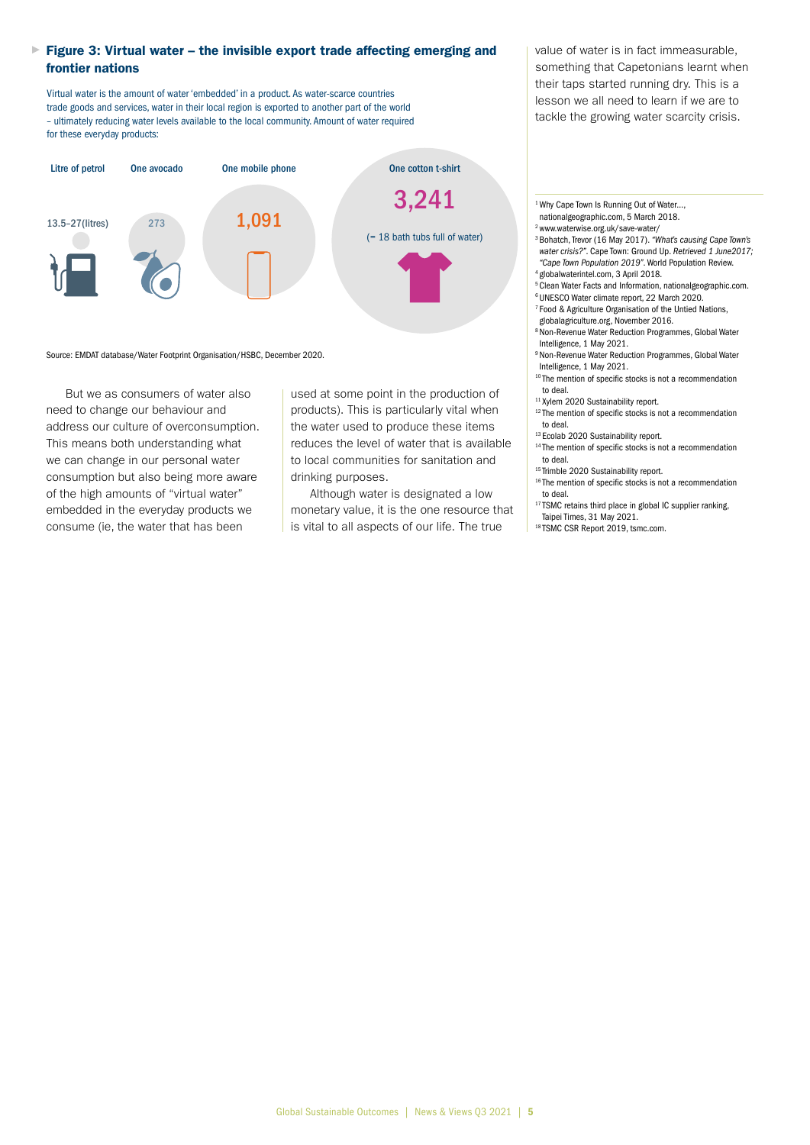### ► Figure 3: Virtual water – the invisible export trade affecting emerging and frontier nations

Virtual water is the amount of water 'embedded' in a product. As water-scarce countries trade goods and services, water in their local region is exported to another part of the world – ultimately reducing water levels available to the local community. Amount of water required for these everyday products:



#### Source: EMDAT database/Water Footprint Organisation/HSBC, December 2020.

But we as consumers of water also need to change our behaviour and address our culture of overconsumption. This means both understanding what we can change in our personal water consumption but also being more aware of the high amounts of "virtual water" embedded in the everyday products we consume (ie, the water that has been

used at some point in the production of products). This is particularly vital when the water used to produce these items reduces the level of water that is available to local communities for sanitation and drinking purposes.

Although water is designated a low monetary value, it is the one resource that is vital to all aspects of our life. The true

value of water is in fact immeasurable, something that Capetonians learnt when their taps started running dry. This is a lesson we all need to learn if we are to tackle the growing water scarcity crisis.

- <sup>1</sup> Why Cape Town Is Running Out of Water...,
- [nationalgeographic.com,](http://nationalgeographic.com) 5 March 2018.
- 2 [www.waterwise.org.uk/save-water/](http://www.waterwise.org.uk/save-water/)
- 3 Bohatch, Trevor (16 May 2017). *"What's causing Cape Town's water crisis?"*. Cape Town: Ground Up. *Retrieved 1 June2017; "Cape Town Population 2019"*. World Population Review.
- 4 [globalwaterintel.com,](http://globalwaterintel.com) 3 April 2018.
- 5 Clean Water Facts and Information, nationalgeographic.com.
- 6 UNESCO Water climate report, 22 March 2020.
- 7 Food & Agriculture Organisation of the Untied Nations,
- [globalagriculture.org,](http://globalagriculture.org) November 2016.
- 8 Non-Revenue Water Reduction Programmes, Global Water Intelligence, 1 May 2021.
- 9 Non-Revenue Water Reduction Programmes, Global Water Intelligence, 1 May 2021.
- <sup>10</sup> The mention of specific stocks is not a recommendation to deal.
- <sup>11</sup> Xylem 2020 Sustainability report.
- $12$  The mention of specific stocks is not a recommendation to deal.
- <sup>13</sup> Ecolab 2020 Sustainability report.
- <sup>14</sup> The mention of specific stocks is not a recommendation to deal.
- <sup>15</sup> Trimble 2020 Sustainability report.
- <sup>16</sup> The mention of specific stocks is not a recommendation to deal.
- $17$  TSMC retains third place in global IC supplier ranking, Taipei Times, 31 May 2021.
- 18 TSMC CSR Report 2019, [tsmc.com.](http://tsmc.com.)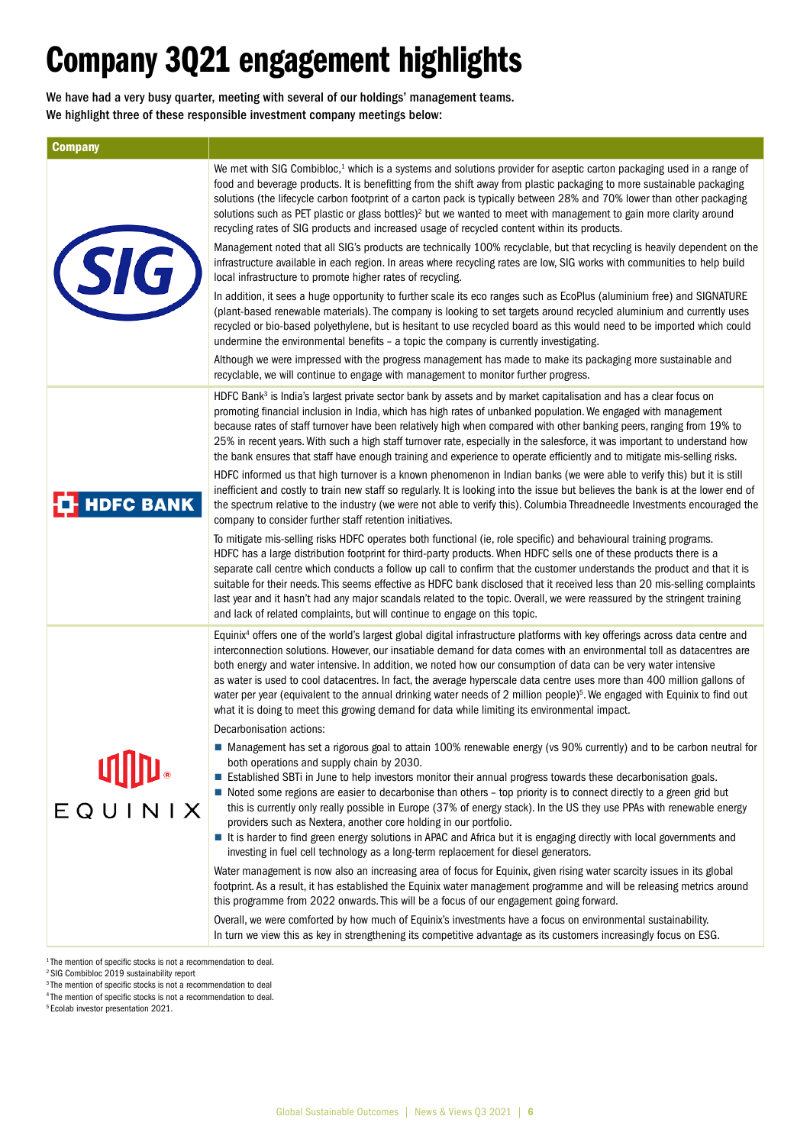## Company 3Q21 engagement highlights

We have had a very busy quarter, meeting with several of our holdings' management teams. We highlight three of these responsible investment company meetings below:

| <b>Company</b>     |                                                                                                                                                                                                                                                                                                                                                                                                                                                                                                                                                                                                                                                                                                                                                                                                                                                                                                                                                                                                                                                                                                                                                                                                                                                                                                                                                                                                                                                                                                                                                                                                                                                                                                                                                                                                                                                                                                                                                                                                                                                                                                                                                                                                        |
|--------------------|--------------------------------------------------------------------------------------------------------------------------------------------------------------------------------------------------------------------------------------------------------------------------------------------------------------------------------------------------------------------------------------------------------------------------------------------------------------------------------------------------------------------------------------------------------------------------------------------------------------------------------------------------------------------------------------------------------------------------------------------------------------------------------------------------------------------------------------------------------------------------------------------------------------------------------------------------------------------------------------------------------------------------------------------------------------------------------------------------------------------------------------------------------------------------------------------------------------------------------------------------------------------------------------------------------------------------------------------------------------------------------------------------------------------------------------------------------------------------------------------------------------------------------------------------------------------------------------------------------------------------------------------------------------------------------------------------------------------------------------------------------------------------------------------------------------------------------------------------------------------------------------------------------------------------------------------------------------------------------------------------------------------------------------------------------------------------------------------------------------------------------------------------------------------------------------------------------|
| (SIG)              | We met with SIG Combibloc, <sup>1</sup> which is a systems and solutions provider for aseptic carton packaging used in a range of<br>food and beverage products. It is benefitting from the shift away from plastic packaging to more sustainable packaging<br>solutions (the lifecycle carbon footprint of a carton pack is typically between 28% and 70% lower than other packaging<br>solutions such as PET plastic or glass bottles) <sup>2</sup> but we wanted to meet with management to gain more clarity around<br>recycling rates of SIG products and increased usage of recycled content within its products.<br>Management noted that all SIG's products are technically 100% recyclable, but that recycling is heavily dependent on the<br>infrastructure available in each region. In areas where recycling rates are low, SIG works with communities to help build<br>local infrastructure to promote higher rates of recycling.<br>In addition, it sees a huge opportunity to further scale its eco ranges such as EcoPlus (aluminium free) and SIGNATURE<br>(plant-based renewable materials). The company is looking to set targets around recycled aluminium and currently uses<br>recycled or bio-based polyethylene, but is hesitant to use recycled board as this would need to be imported which could<br>undermine the environmental benefits - a topic the company is currently investigating.<br>Although we were impressed with the progress management has made to make its packaging more sustainable and<br>recyclable, we will continue to engage with management to monitor further progress.                                                                                                                                                                                                                                                                                                                                                                                                                                                                                                                                                                           |
| <b>T</b> HDFC BANK | HDFC Bank <sup>3</sup> is India's largest private sector bank by assets and by market capitalisation and has a clear focus on<br>promoting financial inclusion in India, which has high rates of unbanked population. We engaged with management<br>because rates of staff turnover have been relatively high when compared with other banking peers, ranging from 19% to<br>25% in recent years. With such a high staff turnover rate, especially in the salesforce, it was important to understand how<br>the bank ensures that staff have enough training and experience to operate efficiently and to mitigate mis-selling risks.<br>HDFC informed us that high turnover is a known phenomenon in Indian banks (we were able to verify this) but it is still<br>inefficient and costly to train new staff so regularly. It is looking into the issue but believes the bank is at the lower end of<br>the spectrum relative to the industry (we were not able to verify this). Columbia Threadneedle Investments encouraged the<br>company to consider further staff retention initiatives.<br>To mitigate mis-selling risks HDFC operates both functional (ie, role specific) and behavioural training programs.<br>HDFC has a large distribution footprint for third-party products. When HDFC sells one of these products there is a<br>separate call centre which conducts a follow up call to confirm that the customer understands the product and that it is<br>suitable for their needs. This seems effective as HDFC bank disclosed that it received less than 20 mis-selling complaints<br>last year and it hasn't had any major scandals related to the topic. Overall, we were reassured by the stringent training<br>and lack of related complaints, but will continue to engage on this topic.                                                                                                                                                                                                                                                                                                                                                                                        |
| EQUINIX            | Equinix <sup>4</sup> offers one of the world's largest global digital infrastructure platforms with key offerings across data centre and<br>interconnection solutions. However, our insatiable demand for data comes with an environmental toll as datacentres are<br>both energy and water intensive. In addition, we noted how our consumption of data can be very water intensive<br>as water is used to cool datacentres. In fact, the average hyperscale data centre uses more than 400 million gallons of<br>water per year (equivalent to the annual drinking water needs of 2 million people) <sup>5</sup> . We engaged with Equinix to find out<br>what it is doing to meet this growing demand for data while limiting its environmental impact.<br>Decarbonisation actions:<br>Management has set a rigorous goal to attain 100% renewable energy (vs 90% currently) and to be carbon neutral for<br>both operations and supply chain by 2030.<br>■ Established SBTi in June to help investors monitor their annual progress towards these decarbonisation goals.<br>Noted some regions are easier to decarbonise than others - top priority is to connect directly to a green grid but<br>this is currently only really possible in Europe (37% of energy stack). In the US they use PPAs with renewable energy<br>providers such as Nextera, another core holding in our portfolio.<br>It is harder to find green energy solutions in APAC and Africa but it is engaging directly with local governments and<br>investing in fuel cell technology as a long-term replacement for diesel generators.<br>Water management is now also an increasing area of focus for Equinix, given rising water scarcity issues in its global<br>footprint. As a result, it has established the Equinix water management programme and will be releasing metrics around<br>this programme from 2022 onwards. This will be a focus of our engagement going forward.<br>Overall, we were comforted by how much of Equinix's investments have a focus on environmental sustainability.<br>In turn we view this as key in strengthening its competitive advantage as its customers increasingly focus on ESG. |

<sup>&</sup>lt;sup>1</sup> The mention of specific stocks is not a recommendation to deal.

<sup>2</sup> SIG Combibloc 2019 sustainability report

<sup>&</sup>lt;sup>3</sup>The mention of specific stocks is not a recommendation to deal

<sup>&</sup>lt;sup>4</sup>The mention of specific stocks is not a recommendation to deal.

<sup>&</sup>lt;sup>5</sup> Ecolab investor presentation 2021.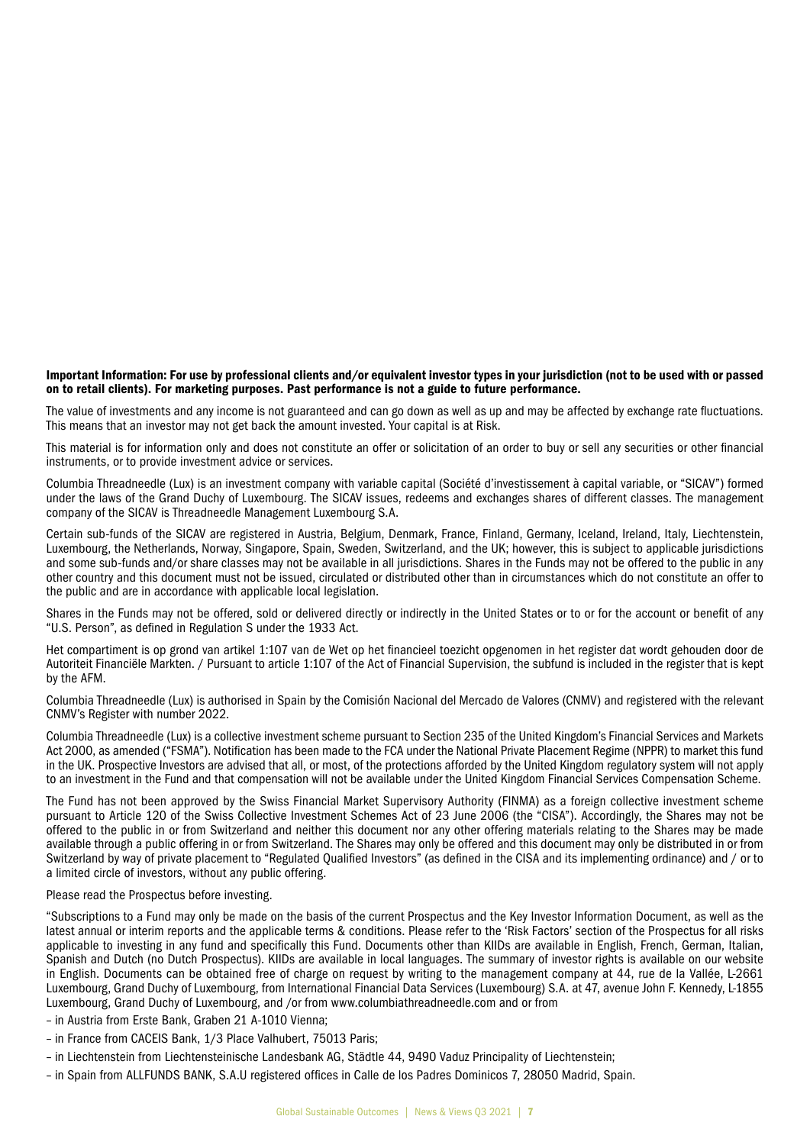### Important Information: For use by professional clients and/or equivalent investor types in your jurisdiction (not to be used with or passed on to retail clients). For marketing purposes. Past performance is not a guide to future performance.

The value of investments and any income is not guaranteed and can go down as well as up and may be affected by exchange rate fluctuations. This means that an investor may not get back the amount invested. Your capital is at Risk.

This material is for information only and does not constitute an offer or solicitation of an order to buy or sell any securities or other financial instruments, or to provide investment advice or services.

Columbia Threadneedle (Lux) is an investment company with variable capital (Société d'investissement à capital variable, or "SICAV") formed under the laws of the Grand Duchy of Luxembourg. The SICAV issues, redeems and exchanges shares of different classes. The management company of the SICAV is Threadneedle Management Luxembourg S.A.

Certain sub-funds of the SICAV are registered in Austria, Belgium, Denmark, France, Finland, Germany, Iceland, Ireland, Italy, Liechtenstein, Luxembourg, the Netherlands, Norway, Singapore, Spain, Sweden, Switzerland, and the UK; however, this is subject to applicable jurisdictions and some sub-funds and/or share classes may not be available in all jurisdictions. Shares in the Funds may not be offered to the public in any other country and this document must not be issued, circulated or distributed other than in circumstances which do not constitute an offer to the public and are in accordance with applicable local legislation.

Shares in the Funds may not be offered, sold or delivered directly or indirectly in the United States or to or for the account or benefit of any "U.S. Person", as defined in Regulation S under the 1933 Act.

Het compartiment is op grond van artikel 1:107 van de Wet op het financieel toezicht opgenomen in het register dat wordt gehouden door de Autoriteit Financiële Markten. / Pursuant to article 1:107 of the Act of Financial Supervision, the subfund is included in the register that is kept by the AFM.

Columbia Threadneedle (Lux) is authorised in Spain by the Comisión Nacional del Mercado de Valores (CNMV) and registered with the relevant CNMV's Register with number 2022.

Columbia Threadneedle (Lux) is a collective investment scheme pursuant to Section 235 of the United Kingdom's Financial Services and Markets Act 2000, as amended ("FSMA"). Notification has been made to the FCA under the National Private Placement Regime (NPPR) to market this fund in the UK. Prospective Investors are advised that all, or most, of the protections afforded by the United Kingdom regulatory system will not apply to an investment in the Fund and that compensation will not be available under the United Kingdom Financial Services Compensation Scheme.

The Fund has not been approved by the Swiss Financial Market Supervisory Authority (FINMA) as a foreign collective investment scheme pursuant to Article 120 of the Swiss Collective Investment Schemes Act of 23 June 2006 (the "CISA"). Accordingly, the Shares may not be offered to the public in or from Switzerland and neither this document nor any other offering materials relating to the Shares may be made available through a public offering in or from Switzerland. The Shares may only be offered and this document may only be distributed in or from Switzerland by way of private placement to "Regulated Qualified Investors" (as defined in the CISA and its implementing ordinance) and / or to a limited circle of investors, without any public offering.

### Please read the Prospectus before investing.

"Subscriptions to a Fund may only be made on the basis of the current Prospectus and the Key Investor Information Document, as well as the latest annual or interim reports and the applicable terms & conditions. Please refer to the 'Risk Factors' section of the Prospectus for all risks applicable to investing in any fund and specifically this Fund. Documents other than KIIDs are available in English, French, German, Italian, Spanish and Dutch (no Dutch Prospectus). KIIDs are available in local languages. The summary of investor rights is available on our website in English. Documents can be obtained free of charge on request by writing to the management company at 44, rue de la Vallée, L-2661 Luxembourg, Grand Duchy of Luxembourg, from International Financial Data Services (Luxembourg) S.A. at 47, avenue John F. Kennedy, L-1855 Luxembourg, Grand Duchy of Luxembourg, and /or from www.columbiathreadneedle.com and or from

– in Austria from Erste Bank, Graben 21 A-1010 Vienna;

- in France from CACEIS Bank, 1/3 Place Valhubert, 75013 Paris;
- in Liechtenstein from Liechtensteinische Landesbank AG, Städtle 44, 9490 Vaduz Principality of Liechtenstein;
- in Spain from ALLFUNDS BANK, S.A.U registered offices in Calle de los Padres Dominicos 7, 28050 Madrid, Spain.